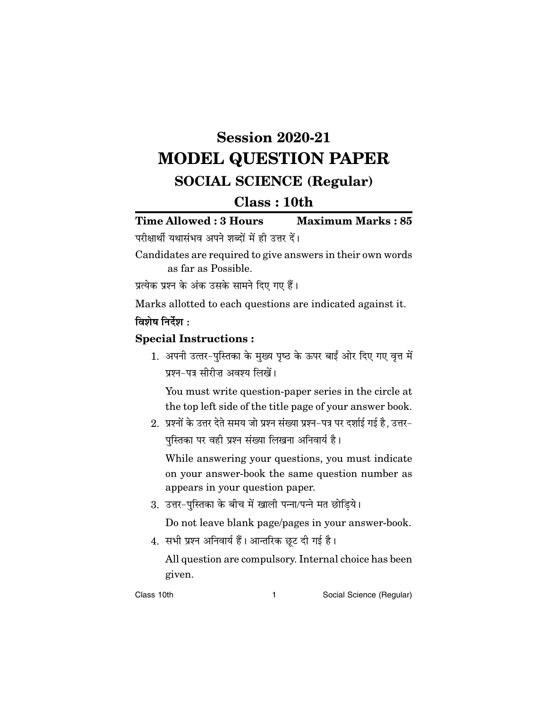# **Session 2020-21 MODEL QUESTION PAPER SOCIAL SCIENCE (Regular)**

# $Class: 10th$

**Time Allowed: 3 Hours Maximum Marks: 85** परीक्षार्थी यथासंभव अपने शब्दों में ही उत्तर दें।

Candidates are required to give answers in their own words as far as Possible.

प्रत्येक प्रश्न के अंक उसके सामने दिए गए हैं।

Marks allotted to each questions are indicated against it. विशेष निर्देश $\cdot$ 

## **Special Instructions:**

1. अपनी उत्तर-पुस्तिका के मुख्य पृष्ठ के ऊपर बाईं ओर दिए गए वृत्त में प्रश्न-पत्र सीरीज़ अवश्य लिखें।

You must write question-paper series in the circle at the top left side of the title page of your answer book.

2. प्रश्नों के उत्तर देते समय जो प्रश्न संख्या प्रश्न-पत्र पर दर्शाई गई है, उत्तर-पुस्तिका पर वही प्रश्न संख्या लिखना अनिवार्य है।

While answering your questions, you must indicate on your answer-book the same question number as appears in your question paper.

3. उत्तर-पुस्तिका के बीच में खाली पन्ना/पन्ने मत छोडिये।

Do not leave blank page/pages in your answer-book.

4. सभी प्रश्न अनिवार्य हैं। आन्तरिक छूट दी गई है।

All question are compulsory. Internal choice has been given.

Class 10th

 $\mathbf{1}$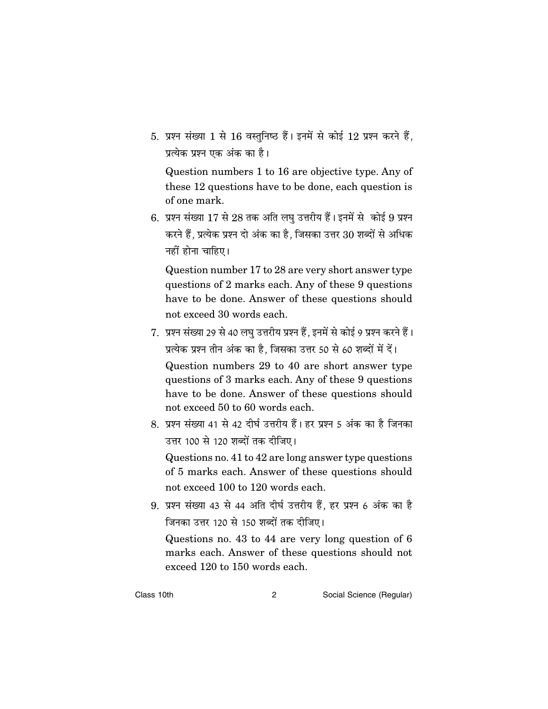5. प्रश्न संख्या 1 से 16 वस्तुनिष्ठ हैं। इनमें से कोई 12 प्रश्न करने हैं, प्रत्येक प्रश्न एक अंक का है।

Question numbers 1 to 16 are objective type. Any of these 12 questions have to be done, each question is of one mark.

6. प्रश्न संख्या 17 से 28 तक अति लघु उत्तरीय हैं। इनमें से कोई 9 प्रश्न करने हैं. प्रत्येक प्रश्न दो अंक का है. जिसका उत्तर 30 शब्दों से अधिक नहीं होना चाहिए।

Question number 17 to 28 are very short answer type questions of 2 marks each. Any of these 9 questions have to be done. Answer of these questions should not exceed 30 words each.

7. प्रश्न संख्या 29 से 40 लघ उत्तरीय प्रश्न हैं. इनमें से कोई 9 प्रश्न करने हैं। प्रत्येक प्रश्न तीन अंक का है, जिसका उत्तर 50 से 60 शब्दों में दें।

Question numbers 29 to 40 are short answer type questions of 3 marks each. Any of these 9 questions have to be done. Answer of these questions should not exceed 50 to 60 words each.

8. प्रश्न संख्या 41 से 42 दीर्घ उत्तरीय हैं। हर प्रश्न 5 अंक का है जिनका उत्तर 100 से 120 शब्दों तक दीजिए।

Questions no. 41 to 42 are long answer type questions of 5 marks each. Answer of these questions should not exceed 100 to 120 words each.

9. प्रश्न संख्या 43 से 44 अति दीर्घ उत्तरीय हैं, हर प्रश्न 6 अंक का है जिनका उत्तर 120 से 150 शब्दों तक दीजिए।

Questions no. 43 to 44 are very long question of 6 marks each. Answer of these questions should not exceed 120 to 150 words each.

Class 10th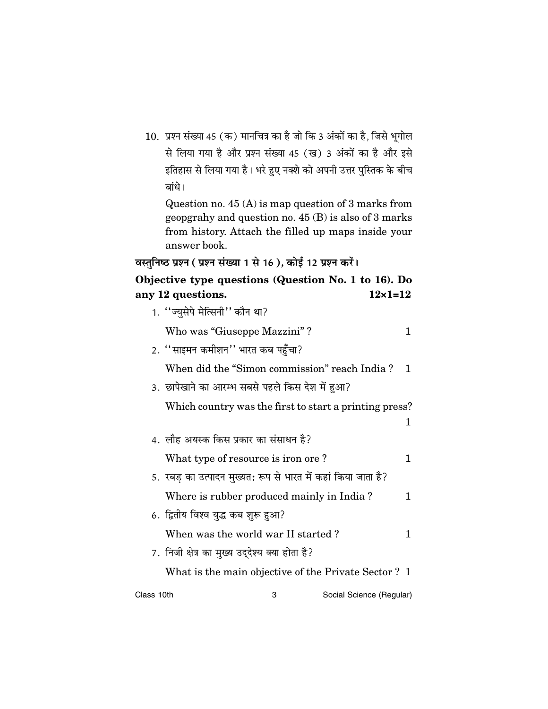10. प्रश्न संख्या 45 (क) मानचित्र का है जो कि 3 अंकों का है, जिसे भूगोल से लिया गया है और प्रश्न संख्या 45 (ख) 3 अंकों का है और इसे इतिहास से लिया गया है। भरे हुए नक्शे को अपनी उत्तर पुस्तिक के बीच बांधे।

Question no.  $45(A)$  is map question of 3 marks from geopgrahy and question no.  $45(B)$  is also of 3 marks from history. Attach the filled up maps inside your answer book.

```
वस्तुनिष्ठ प्रश्न (प्रश्न संख्या 1 से 16), कोई 12 प्रश्न करें।
```

```
Objective type questions (Question No. 1 to 16). Do
                                   12 \times 1 = 12any 12 questions
```

|            | $1 - 9$ webuono                                               |    |
|------------|---------------------------------------------------------------|----|
|            | 1. "ज्युसेपे मेत्सिनी" कौन था?                                |    |
|            | Who was "Giuseppe Mazzini"?                                   | 1  |
|            | 2. ''साइमन कमीशन'' भारत कब पहुँचा?                            |    |
|            | When did the "Simon commission" reach India?                  | 1. |
|            | 3. छापेखाने का आरम्भ सबसे पहले किस देश में हुआ?               |    |
|            | Which country was the first to start a printing press?        |    |
|            |                                                               | 1  |
|            | 4. लौह अयस्क किस प्रकार का संसाधन है?                         |    |
|            | What type of resource is iron ore?                            | 1  |
|            | 5. रबड़ का उत्पादन मुख्यत: रूप से भारत में कहां किया जाता है? |    |
|            | Where is rubber produced mainly in India?                     | 1  |
|            | 6. द्वितीय विश्व युद्ध कब शुरू हुआ?                           |    |
|            | When was the world war II started?                            | 1  |
|            | 7. निजी क्षेत्र का मुख्य उद्देश्य क्या होता है?               |    |
|            | What is the main objective of the Private Sector? 1           |    |
| Class 10th | Social Science (Regular)<br>3                                 |    |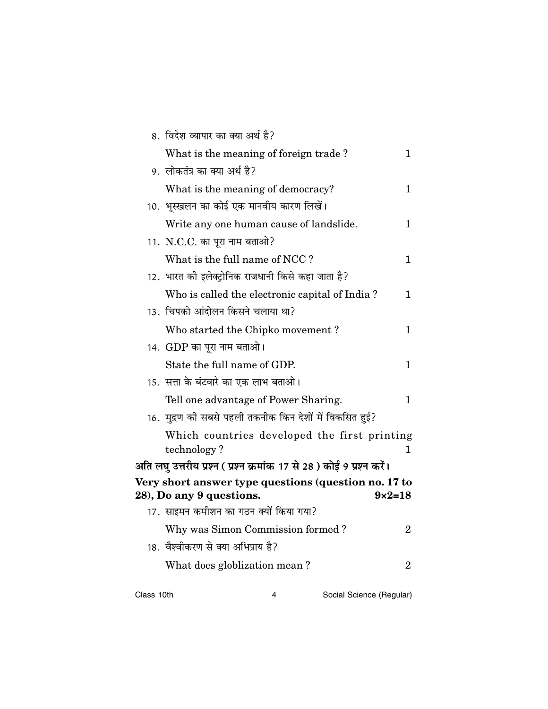|            | 8. विदेश व्यापार का क्या अर्थ है?                                      |                   |
|------------|------------------------------------------------------------------------|-------------------|
|            | What is the meaning of foreign trade?                                  | $\mathbf 1$       |
|            | 9.  लोकतंत्र का क्या अर्थ है?                                          |                   |
|            | What is the meaning of democracy?                                      | $\mathbf 1$       |
|            | 10. भूस्खलन का कोई एक मानवीय कारण लिखें।                               |                   |
|            | Write any one human cause of landslide.                                | $\mathbf 1$       |
|            | 11. N.C.C. का पूरा नाम बताओ?                                           |                   |
|            | What is the full name of NCC?                                          | 1                 |
|            | 12. भारत की इलेक्ट्रोनिक राजधानी किसे कहा जाता है?                     |                   |
|            | Who is called the electronic capital of India?                         | 1                 |
|            | 13. चिपको आंदोलन किसने चलाया था?                                       |                   |
|            | Who started the Chipko movement?                                       | 1                 |
|            | 14.  GDP का पूरा नाम बताओ।                                             |                   |
|            | State the full name of GDP.                                            | $\mathbf 1$       |
|            | 15. सत्ता के बंटवारे का एक लाभ बताओ।                                   |                   |
|            | Tell one advantage of Power Sharing.                                   | 1                 |
|            | 16.  मुद्रण की सबसे पहली तकनीक किन देशों में विकसित हुई?               |                   |
|            | Which countries developed the first printing                           |                   |
|            | technology?                                                            | $\mathbf 1$       |
|            | अति लघु उत्तरीय प्रश्न ( प्रश्न क्रमांक 17 से 28 ) कोई 9 प्रश्न करें।  |                   |
|            | Very short answer type questions (question no. 17 to                   | $9 \times 2 = 18$ |
|            | 28), Do any 9 questions.<br>17. साइमन कमीशन का गठन क्यों किया गया?     |                   |
|            |                                                                        | $\boldsymbol{2}$  |
|            | Why was Simon Commission formed?<br>18. वैश्वीकरण से क्या अभिप्राय है? |                   |
|            |                                                                        |                   |
|            | What does globlization mean?                                           | $\overline{2}$    |
| Class 10th | Social Science (Regular)<br>4                                          |                   |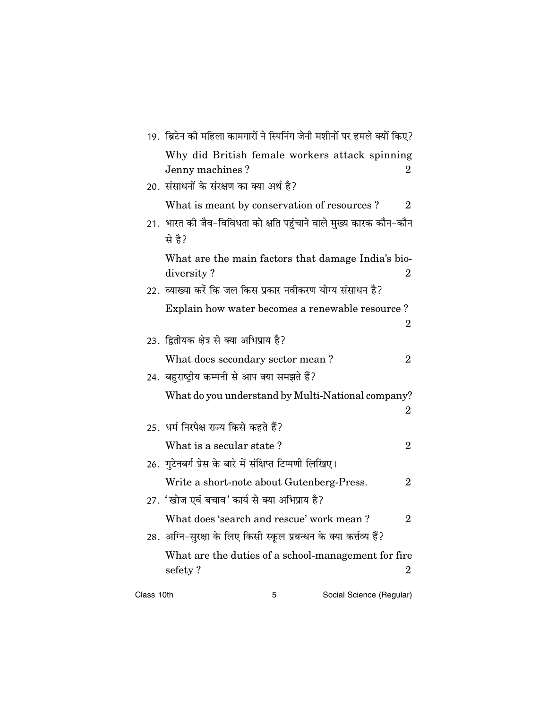|            | 19.  ब्रिटेन की महिला कामगारों ने स्पिनिंग जेनी मशीनों पर हमले क्यों किए?   |                |
|------------|-----------------------------------------------------------------------------|----------------|
|            | Why did British female workers attack spinning<br>Jenny machines?           | $\overline{2}$ |
|            | 20. संसाधनों के संरक्षण का क्या अर्थ है?                                    |                |
|            | What is meant by conservation of resources?                                 | $\overline{2}$ |
|            | 21. भारत की जैव-विविधता को क्षति पहुंचाने वाले मुख्य कारक कौन-कौन<br>से है? |                |
|            | What are the main factors that damage India's bio-<br>diversity?            | 2              |
|            | 22.  व्याख्या करें कि जल किस प्रकार नवीकरण योग्य संसाधन है?                 |                |
|            | Explain how water becomes a renewable resource?                             | 2              |
|            | 23. द्वितीयक क्षेत्र से क्या अभिप्राय है?                                   |                |
|            | What does secondary sector mean?                                            | $\overline{2}$ |
|            | 24. बहुराष्ट्रीय कम्पनी से आप क्या समझते हैं?                               |                |
|            | What do you understand by Multi-National company?                           | 2              |
|            | 25.  धर्म निरपेक्ष राज्य किसे कहते हैं?                                     |                |
|            | What is a secular state?                                                    | $\overline{2}$ |
|            | 26. गुटेनबर्ग प्रेस के बारे में संक्षिप्त टिप्पणी लिखिए।                    |                |
|            | Write a short-note about Gutenberg-Press.                                   | $\overline{2}$ |
|            | 27. 'खोज एवं बचाव' कार्य से क्या अभिप्राय है?                               |                |
|            | What does 'search and rescue' work mean?                                    | $\overline{2}$ |
|            | 28. अग्नि–सुरक्षा के लिए किसी स्कूल प्रबन्धन के क्या कर्त्तव्य हैं?         |                |
|            | What are the duties of a school-management for fire<br>sefety?              | 2              |
| Class 10th | Social Science (Regular)<br>5                                               |                |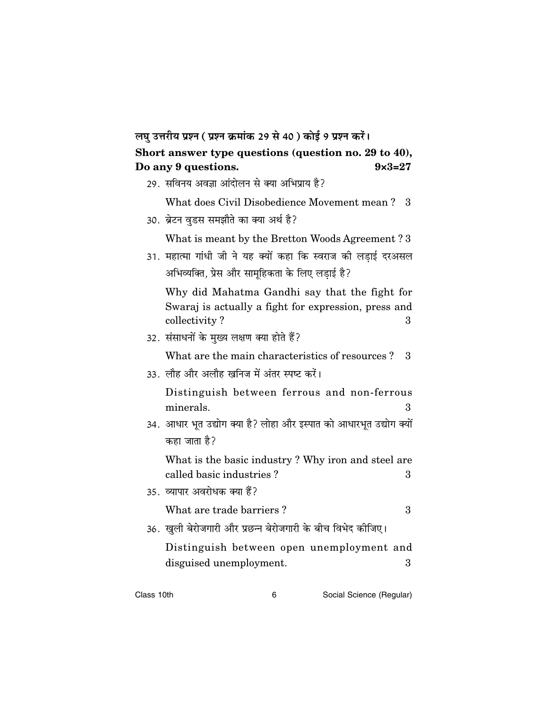#### लघु उत्तरीय प्रश्न (प्रश्न क्रमांक 29 से 40) कोई 9 प्रश्न करें। Short answer type questions (question no. 29 to 40), Do any 9 questions.  $9 \times 3 = 27$

|  |  |  | 29. सविनय अवज्ञा आंदोलन से क्या अभिप्राय है? |  |
|--|--|--|----------------------------------------------|--|
|  |  |  |                                              |  |

What does Civil Disobedience Movement mean? 3

30. ब्रेटन वडस समझौते का क्या अर्थ है?

What is meant by the Bretton Woods Agreement? 3

31. महात्मा गांधी जी ने यह क्यों कहा कि स्वराज की लडाई दरअसल अभिव्यक्ति, प्रेस और सामूहिकता के लिए लडाई है?

Why did Mahatma Gandhi say that the fight for Swaraj is actually a fight for expression, press and collectivity? 3

32. संसाधनों के मुख्य लक्षण क्या होते हैं?

What are the main characteristics of resources? 3

33. लौह और अलौह खनिज में अंतर स्पष्ट करें।

Distinguish between ferrous and non-ferrous minerals.  $\mathbf{a}$ 

34. आधार भूत उद्योग क्या है? लोहा और इस्पात को आधारभूत उद्योग क्यों कहा जाता है?

What is the basic industry? Why iron and steel are called basic industries?  $\mathbf{R}$ 

35. व्यापार अवरोधक क्या हैं?

What are trade barriers?

- $\mathcal{S}$
- 36. खुली बेरोजगारी और प्रछन्न बेरोजगारी के बीच विभेद कीजिए।

Distinguish between open unemployment and disguised unemployment.  $\mathcal{S}$ 

Class 10th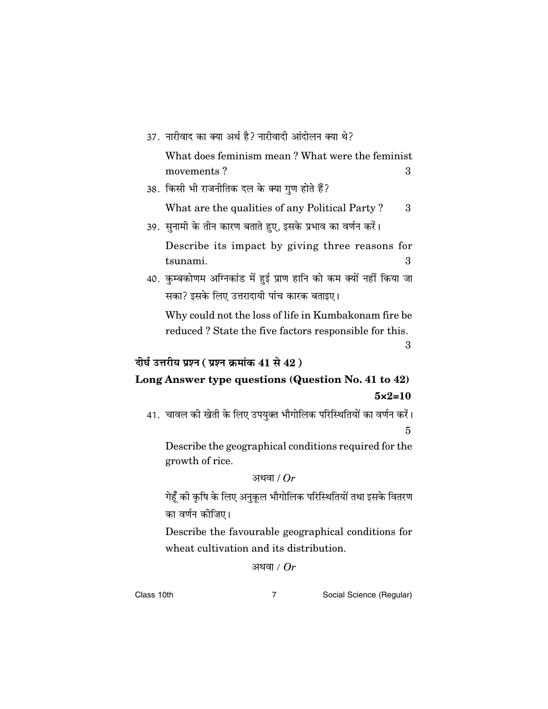| 37. नारीवाद का क्या अर्थ है? नारीवादी आंदोलन क्या थे?                    |
|--------------------------------------------------------------------------|
| What does feminism mean? What were the feminist                          |
| movements?<br>3                                                          |
| 38. किसी भी राजनीतिक दल के क्या गुण होते हैं?                            |
| What are the qualities of any Political Party?<br>3                      |
| 39. सुनामी के तीन कारण बताते हुए, इसके प्रभाव का वर्णन करें।             |
| Describe its impact by giving three reasons for<br>tsunami.<br>3         |
| 40. कुम्बकोणम अग्निकांड में हुई प्राण हानि को कम क्यों नहीं किया जा      |
| सका? इसके लिए उत्तरादायी पांच कारक बताइए।                                |
| Why could not the loss of life in Kumbakonam fire be                     |
| reduced? State the five factors responsible for this.                    |
| 3                                                                        |
|                                                                          |
| दीर्घ उत्तरीय प्रश्न ( प्रश्न क्रमांक 41 से 42 )                         |
| Long Answer type questions (Question No. 41 to 42)                       |
| $5 \times 2 = 10$                                                        |
| 41. चावल की खेती के लिए उपयुक्त भौगोलिक परिस्थितियों का वर्णन करें।      |
| 5                                                                        |
| Describe the geographical conditions required for the<br>growth of rice. |
| अथवा / $Or$                                                              |
| गेहूँ की कृषि के लिए अनुकूल भौगोलिक परिस्थितियों तथा इसके वितरण          |
| का वर्णन कीजिए।                                                          |
| Describe the favourable geographical conditions for                      |
| wheat cultivation and its distribution.                                  |

Class 10th

 $\overline{7}$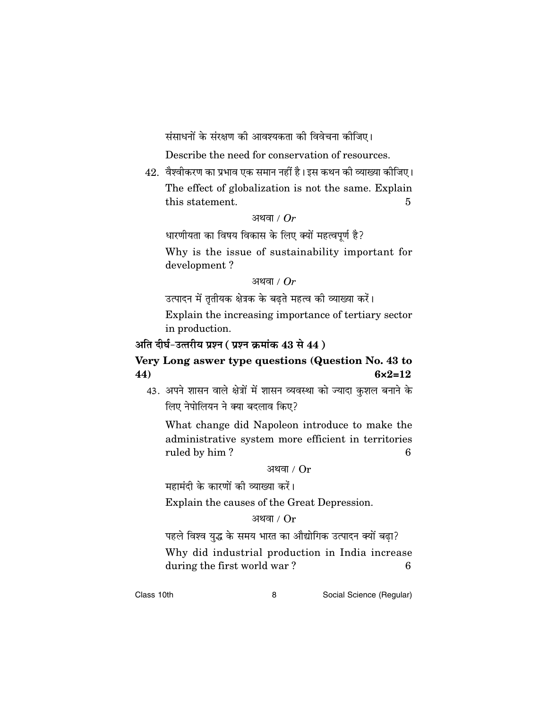संसाधनों के संरक्षण की आवश्यकता की विवेचना कीजिए।

Describe the need for conservation of resources.

42. वैश्वीकरण का प्रभाव एक समान नहीं है। इस कथन की व्याख्या कीजिए। The effect of globalization is not the same. Explain this statement. 5

#### अथवा /  $Or$

धारणीयता का विषय विकास के लिए क्यों महत्वपूर्ण है?

Why is the issue of sustainability important for development?

#### अथवा /  $Or$

उत्पादन में तृतीयक क्षेत्रक के बढते महत्व की व्याख्या करें।

Explain the increasing importance of tertiary sector in production.

#### अति दीर्घ-उत्तरीय प्रश्न (प्रश्न क्रमांक 43 से 44)

#### Very Long aswer type questions (Question No. 43 to 44)  $6 \times 2 = 12$

43. अपने शासन वाले क्षेत्रों में शासन व्यवस्था को ज्यादा कुशल बनाने के लिए नेपोलियन ने क्या बदलाव किए?

What change did Napoleon introduce to make the administrative system more efficient in territories ruled by him? 6

#### अथवा /  $Or$

महामंदी के कारणों की व्याख्या करें।

Explain the causes of the Great Depression.

#### अथवा /  $Or$

पहले विश्व युद्ध के समय भारत का औद्योगिक उत्पादन क्यों बढ़ा? Why did industrial production in India increase during the first world war?  $\boldsymbol{6}$ 

Class 10th